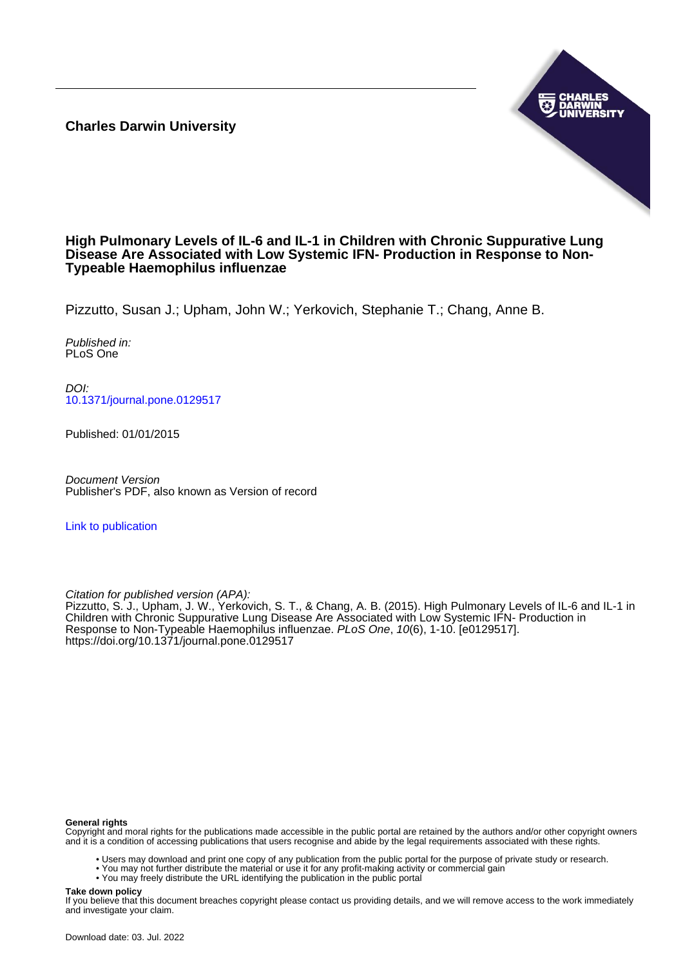**Charles Darwin University**



#### **High Pulmonary Levels of IL-6 and IL-1 in Children with Chronic Suppurative Lung Disease Are Associated with Low Systemic IFN- Production in Response to Non-Typeable Haemophilus influenzae**

Pizzutto, Susan J.; Upham, John W.; Yerkovich, Stephanie T.; Chang, Anne B.

Published in: PLoS One

DOI: [10.1371/journal.pone.0129517](https://doi.org/10.1371/journal.pone.0129517)

Published: 01/01/2015

Document Version Publisher's PDF, also known as Version of record

[Link to publication](https://researchers.cdu.edu.au/en/publications/d5054077-7bad-4bc2-bc3e-dc24648587c0)

Citation for published version (APA):

Pizzutto, S. J., Upham, J. W., Yerkovich, S. T., & Chang, A. B. (2015). High Pulmonary Levels of IL-6 and IL-1 in Children with Chronic Suppurative Lung Disease Are Associated with Low Systemic IFN- Production in Response to Non-Typeable Haemophilus influenzae. PLoS One, 10(6), 1-10. [e0129517]. <https://doi.org/10.1371/journal.pone.0129517>

#### **General rights**

Copyright and moral rights for the publications made accessible in the public portal are retained by the authors and/or other copyright owners and it is a condition of accessing publications that users recognise and abide by the legal requirements associated with these rights.

• Users may download and print one copy of any publication from the public portal for the purpose of private study or research.

- You may not further distribute the material or use it for any profit-making activity or commercial gain
- You may freely distribute the URL identifying the publication in the public portal

#### **Take down policy**

If you believe that this document breaches copyright please contact us providing details, and we will remove access to the work immediately and investigate your claim.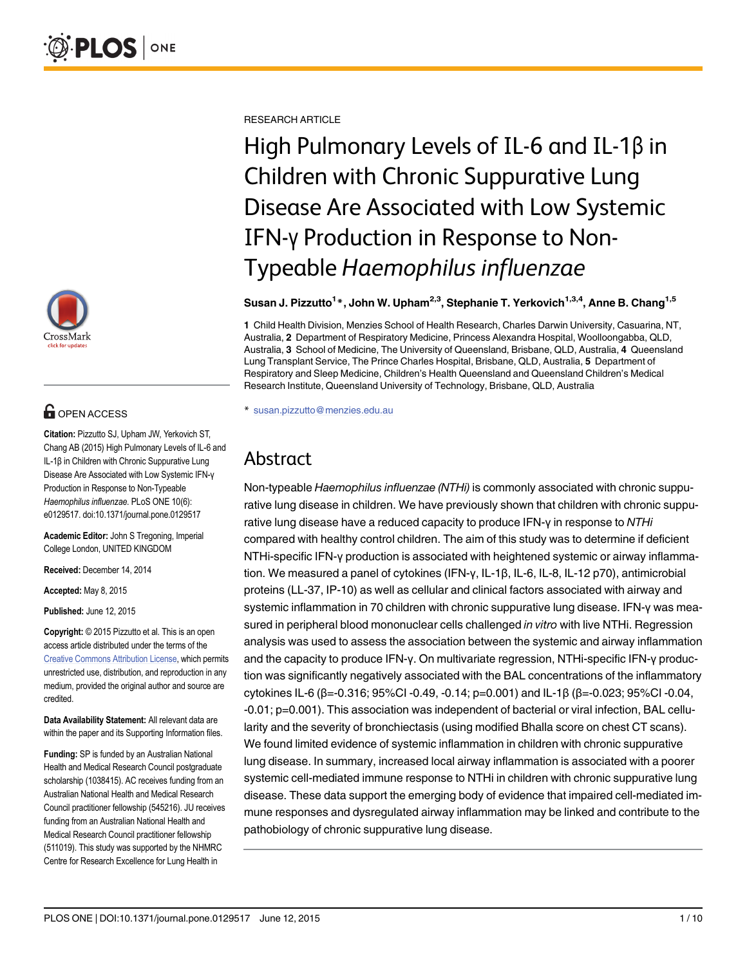

# **OPEN ACCESS**

Citation: Pizzutto SJ, Upham JW, Yerkovich ST, Chang AB (2015) High Pulmonary Levels of IL-6 and IL-1β in Children with Chronic Suppurative Lung Disease Are Associated with Low Systemic IFN-γ Production in Response to Non-Typeable Haemophilus influenzae. PLoS ONE 10(6): e0129517. doi:10.1371/journal.pone.0129517

Academic Editor: John S Tregoning, Imperial College London, UNITED KINGDOM

Received: December 14, 2014

Accepted: May 8, 2015

Published: June 12, 2015

Copyright: © 2015 Pizzutto et al. This is an open access article distributed under the terms of the [Creative Commons Attribution License,](http://creativecommons.org/licenses/by/4.0/) which permits unrestricted use, distribution, and reproduction in any medium, provided the original author and source are credited.

Data Availability Statement: All relevant data are within the paper and its Supporting Information files.

Funding: SP is funded by an Australian National Health and Medical Research Council postgraduate scholarship (1038415). AC receives funding from an Australian National Health and Medical Research Council practitioner fellowship (545216). JU receives funding from an Australian National Health and Medical Research Council practitioner fellowship (511019). This study was supported by the NHMRC Centre for Research Excellence for Lung Health in

RESEARCH ARTICLE

High Pulmonary Levels of IL-6 and IL-1β in Children with Chronic Suppurative Lung Disease Are Associated with Low Systemic IFN-γ Production in Response to Non-Typeable Haemophilus influenzae

#### Susan J. Pizzutto<sup>1</sup>\*, John W. Upham<sup>2,3</sup>, Stephanie T. Yerkovich<sup>1,3,4</sup>, Anne B. Chang<sup>1,5</sup>

1 Child Health Division, Menzies School of Health Research, Charles Darwin University, Casuarina, NT, Australia, 2 Department of Respiratory Medicine, Princess Alexandra Hospital, Woolloongabba, QLD, Australia, 3 School of Medicine, The University of Queensland, Brisbane, QLD, Australia, 4 Queensland Lung Transplant Service, The Prince Charles Hospital, Brisbane, QLD, Australia, 5 Department of Respiratory and Sleep Medicine, Children's Health Queensland and Queensland Children's Medical Research Institute, Queensland University of Technology, Brisbane, QLD, Australia

\* susan.pizzutto@menzies.edu.au

# Abstract

Non-typeable Haemophilus influenzae (NTHi) is commonly associated with chronic suppurative lung disease in children. We have previously shown that children with chronic suppurative lung disease have a reduced capacity to produce IFN-γ in response to NTHi compared with healthy control children. The aim of this study was to determine if deficient NTHi-specific IFN-γ production is associated with heightened systemic or airway inflammation. We measured a panel of cytokines (IFN-γ, IL-1β, IL-6, IL-8, IL-12 p70), antimicrobial proteins (LL-37, IP-10) as well as cellular and clinical factors associated with airway and systemic inflammation in 70 children with chronic suppurative lung disease. IFN-γ was measured in peripheral blood mononuclear cells challenged in vitro with live NTHi. Regression analysis was used to assess the association between the systemic and airway inflammation and the capacity to produce IFN-γ. On multivariate regression, NTHi-specific IFN-γ production was significantly negatively associated with the BAL concentrations of the inflammatory cytokines IL-6 (β=-0.316; 95%CI -0.49, -0.14; p=0.001) and IL-1β (β=-0.023; 95%CI -0.04, -0.01; p=0.001). This association was independent of bacterial or viral infection, BAL cellularity and the severity of bronchiectasis (using modified Bhalla score on chest CT scans). We found limited evidence of systemic inflammation in children with chronic suppurative lung disease. In summary, increased local airway inflammation is associated with a poorer systemic cell-mediated immune response to NTHi in children with chronic suppurative lung disease. These data support the emerging body of evidence that impaired cell-mediated immune responses and dysregulated airway inflammation may be linked and contribute to the pathobiology of chronic suppurative lung disease.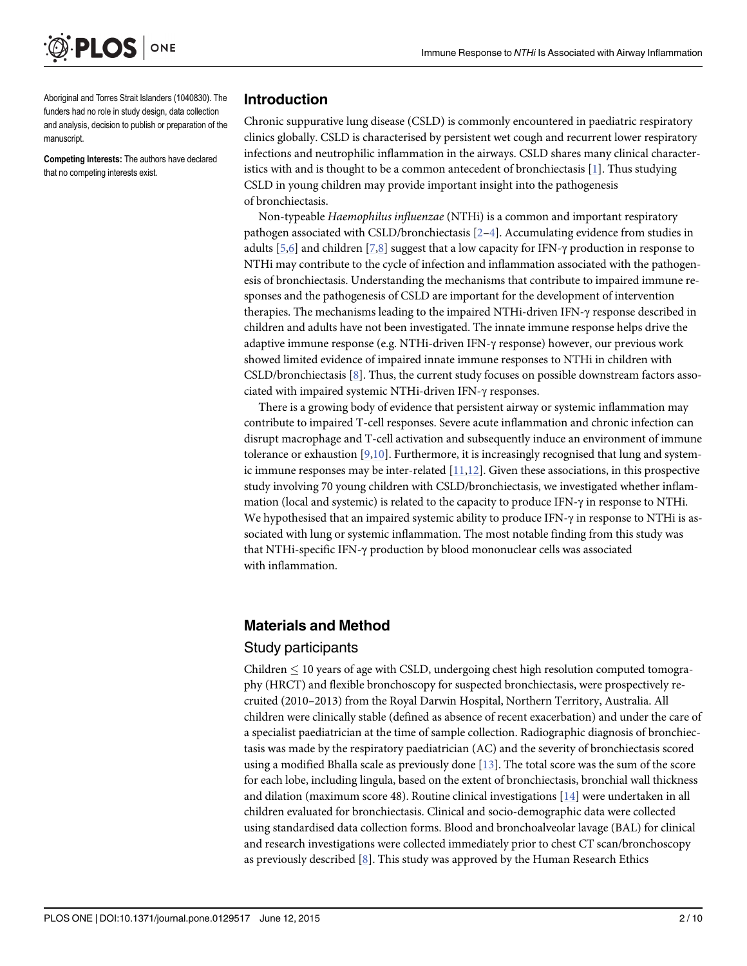<span id="page-2-0"></span>

Aboriginal and Torres Strait Islanders (1040830). The funders had no role in study design, data collection and analysis, decision to publish or preparation of the manuscript.

Competing Interests: The authors have declared that no competing interests exist.

#### Introduction

Chronic suppurative lung disease (CSLD) is commonly encountered in paediatric respiratory clinics globally. CSLD is characterised by persistent wet cough and recurrent lower respiratory infections and neutrophilic inflammation in the airways. CSLD shares many clinical characteristics with and is thought to be a common antecedent of bronchiectasis [\[1](#page-9-0)]. Thus studying CSLD in young children may provide important insight into the pathogenesis of bronchiectasis.

Non-typeable Haemophilus influenzae (NTHi) is a common and important respiratory pathogen associated with CSLD/bronchiectasis  $[2-4]$  $[2-4]$  $[2-4]$ . Accumulating evidence from studies in adults  $[5,6]$  $[5,6]$  $[5,6]$  $[5,6]$  $[5,6]$  and children  $[7,8]$  $[7,8]$  suggest that a low capacity for IFN- $\gamma$  production in response to NTHi may contribute to the cycle of infection and inflammation associated with the pathogenesis of bronchiectasis. Understanding the mechanisms that contribute to impaired immune responses and the pathogenesis of CSLD are important for the development of intervention therapies. The mechanisms leading to the impaired NTHi-driven IFN-γ response described in children and adults have not been investigated. The innate immune response helps drive the adaptive immune response (e.g. NTHi-driven IFN-γ response) however, our previous work showed limited evidence of impaired innate immune responses to NTHi in children with CSLD/bronchiectasis [[8](#page-9-0)]. Thus, the current study focuses on possible downstream factors associated with impaired systemic NTHi-driven IFN-γ responses.

There is a growing body of evidence that persistent airway or systemic inflammation may contribute to impaired T-cell responses. Severe acute inflammation and chronic infection can disrupt macrophage and T-cell activation and subsequently induce an environment of immune tolerance or exhaustion  $[9,10]$  $[9,10]$  $[9,10]$  $[9,10]$  $[9,10]$ . Furthermore, it is increasingly recognised that lung and systemic immune responses may be inter-related  $[11,12]$ . Given these associations, in this prospective study involving 70 young children with CSLD/bronchiectasis, we investigated whether inflammation (local and systemic) is related to the capacity to produce IFN-γ in response to NTHi. We hypothesised that an impaired systemic ability to produce IFN-γ in response to NTHi is associated with lung or systemic inflammation. The most notable finding from this study was that NTHi-specific IFN-γ production by blood mononuclear cells was associated with inflammation.

## Materials and Method

#### Study participants

Children  $\leq$  10 years of age with CSLD, undergoing chest high resolution computed tomography (HRCT) and flexible bronchoscopy for suspected bronchiectasis, were prospectively recruited (2010–2013) from the Royal Darwin Hospital, Northern Territory, Australia. All children were clinically stable (defined as absence of recent exacerbation) and under the care of a specialist paediatrician at the time of sample collection. Radiographic diagnosis of bronchiectasis was made by the respiratory paediatrician (AC) and the severity of bronchiectasis scored using a modified Bhalla scale as previously done  $[13]$  $[13]$  $[13]$ . The total score was the sum of the score for each lobe, including lingula, based on the extent of bronchiectasis, bronchial wall thickness and dilation (maximum score 48). Routine clinical investigations [\[14\]](#page-9-0) were undertaken in all children evaluated for bronchiectasis. Clinical and socio-demographic data were collected using standardised data collection forms. Blood and bronchoalveolar lavage (BAL) for clinical and research investigations were collected immediately prior to chest CT scan/bronchoscopy as previously described  $[8]$ . This study was approved by the Human Research Ethics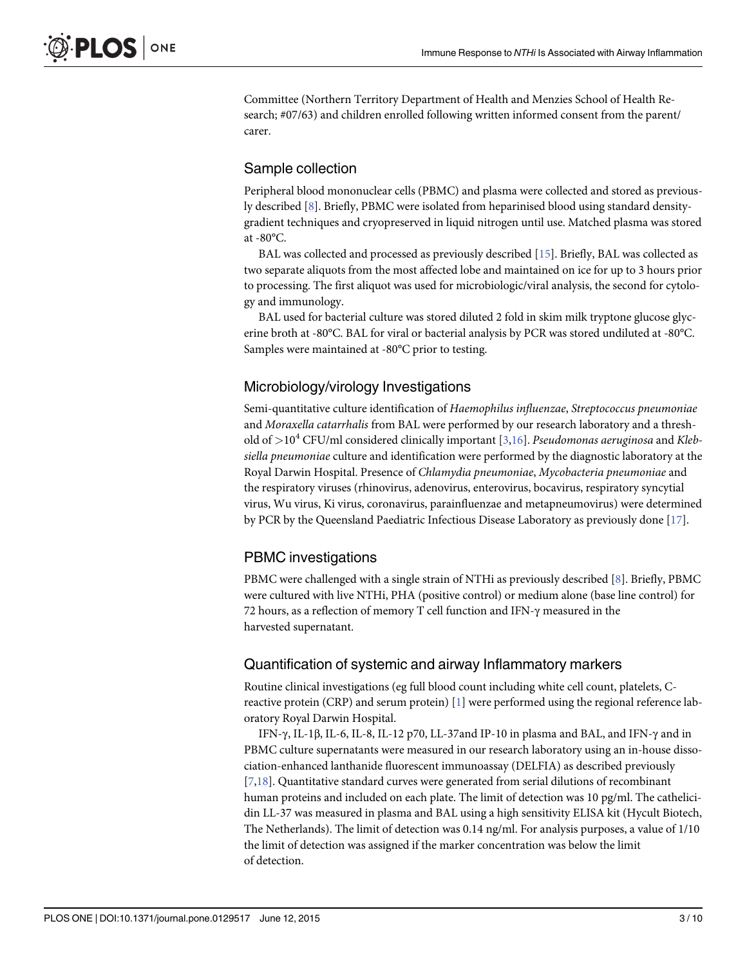<span id="page-3-0"></span>Committee (Northern Territory Department of Health and Menzies School of Health Research; #07/63) and children enrolled following written informed consent from the parent/ carer.

## Sample collection

Peripheral blood mononuclear cells (PBMC) and plasma were collected and stored as previously described [[8\]](#page-9-0). Briefly, PBMC were isolated from heparinised blood using standard densitygradient techniques and cryopreserved in liquid nitrogen until use. Matched plasma was stored at -80°C.

BAL was collected and processed as previously described [[15](#page-9-0)]. Briefly, BAL was collected as two separate aliquots from the most affected lobe and maintained on ice for up to 3 hours prior to processing. The first aliquot was used for microbiologic/viral analysis, the second for cytology and immunology.

BAL used for bacterial culture was stored diluted 2 fold in skim milk tryptone glucose glycerine broth at -80°C. BAL for viral or bacterial analysis by PCR was stored undiluted at -80°C. Samples were maintained at -80°C prior to testing.

## Microbiology/virology Investigations

Semi-quantitative culture identification of Haemophilus influenzae, Streptococcus pneumoniae and Moraxella catarrhalis from BAL were performed by our research laboratory and a threshold of  $>10^4$  CFU/ml considered clinically important [\[3,16\]](#page-9-0). *Pseudomonas aeruginosa* and *Kleb*siella pneumoniae culture and identification were performed by the diagnostic laboratory at the Royal Darwin Hospital. Presence of Chlamydia pneumoniae, Mycobacteria pneumoniae and the respiratory viruses (rhinovirus, adenovirus, enterovirus, bocavirus, respiratory syncytial virus, Wu virus, Ki virus, coronavirus, parainfluenzae and metapneumovirus) were determined by PCR by the Queensland Paediatric Infectious Disease Laboratory as previously done [[17](#page-9-0)].

# PBMC investigations

PBMC were challenged with a single strain of NTHi as previously described [\[8](#page-9-0)]. Briefly, PBMC were cultured with live NTHi, PHA (positive control) or medium alone (base line control) for 72 hours, as a reflection of memory T cell function and IFN-γ measured in the harvested supernatant.

## Quantification of systemic and airway Inflammatory markers

Routine clinical investigations (eg full blood count including white cell count, platelets, Creactive protein (CRP) and serum protein) [[1](#page-9-0)] were performed using the regional reference laboratory Royal Darwin Hospital.

IFN-γ, IL-1β, IL-6, IL-8, IL-12 p70, LL-37and IP-10 in plasma and BAL, and IFN-γ and in PBMC culture supernatants were measured in our research laboratory using an in-house dissociation-enhanced lanthanide fluorescent immunoassay (DELFIA) as described previously [\[7,18](#page-9-0)]. Quantitative standard curves were generated from serial dilutions of recombinant human proteins and included on each plate. The limit of detection was 10 pg/ml. The cathelicidin LL-37 was measured in plasma and BAL using a high sensitivity ELISA kit (Hycult Biotech, The Netherlands). The limit of detection was 0.14 ng/ml. For analysis purposes, a value of 1/10 the limit of detection was assigned if the marker concentration was below the limit of detection.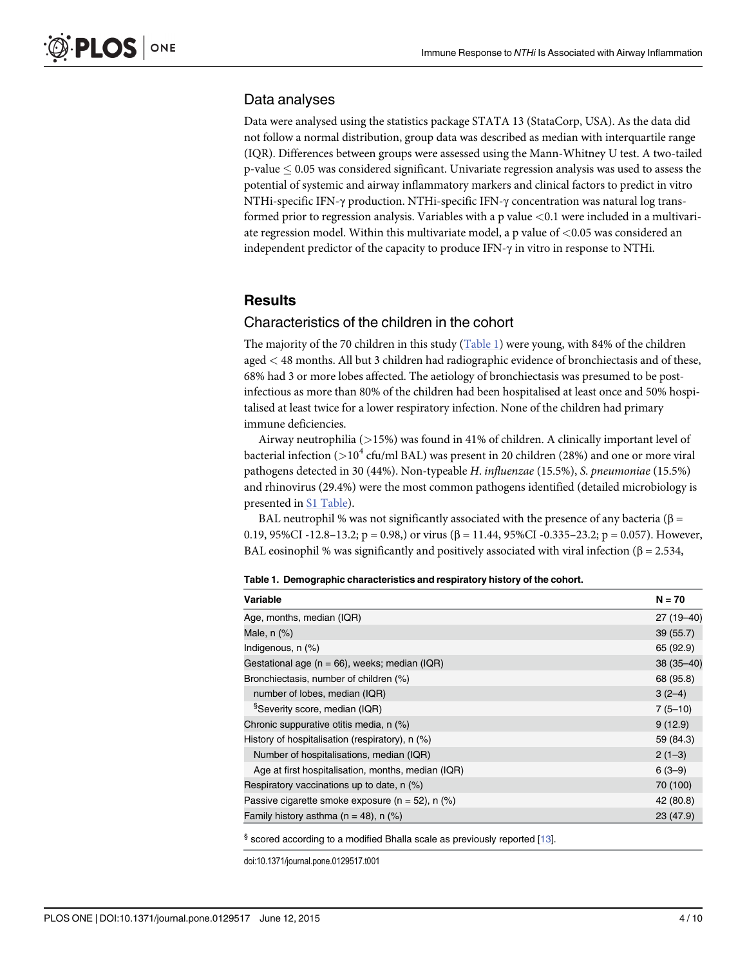#### Data analyses

Data were analysed using the statistics package STATA 13 (StataCorp, USA). As the data did not follow a normal distribution, group data was described as median with interquartile range (IQR). Differences between groups were assessed using the Mann-Whitney U test. A two-tailed  $p$ -value  $\leq 0.05$  was considered significant. Univariate regression analysis was used to assess the potential of systemic and airway inflammatory markers and clinical factors to predict in vitro NTHi-specific IFN-γ production. NTHi-specific IFN-γ concentration was natural log transformed prior to regression analysis. Variables with a p value <0.1 were included in a multivariate regression model. Within this multivariate model, a p value of <0.05 was considered an independent predictor of the capacity to produce IFN-γ in vitro in response to NTHi.

#### **Results**

#### Characteristics of the children in the cohort

The majority of the 70 children in this study  $(Table 1)$  were young, with 84% of the children aged < 48 months. All but 3 children had radiographic evidence of bronchiectasis and of these, 68% had 3 or more lobes affected. The aetiology of bronchiectasis was presumed to be postinfectious as more than 80% of the children had been hospitalised at least once and 50% hospitalised at least twice for a lower respiratory infection. None of the children had primary immune deficiencies.

Airway neutrophilia (>15%) was found in 41% of children. A clinically important level of bacterial infection ( $>10^4$  cfu/ml BAL) was present in 20 children (28%) and one or more viral pathogens detected in 30 (44%). Non-typeable H. influenzae (15.5%), S. pneumoniae (15.5%) and rhinovirus (29.4%) were the most common pathogens identified (detailed microbiology is presented in [S1 Table\)](#page-8-0).

BAL neutrophil % was not significantly associated with the presence of any bacteria (β = 0.19, 95%CI -12.8–13.2; p = 0.98,) or virus (β = 11.44, 95%CI -0.335–23.2; p = 0.057). However, BAL eosinophil % was significantly and positively associated with viral infection ( $\beta = 2.534$ ,

| <b>Variable</b>                                      | $N = 70$      |
|------------------------------------------------------|---------------|
| Age, months, median (IQR)                            | 27 (19–40)    |
| Male, $n$ $(\%)$                                     | 39(55.7)      |
| Indigenous, n (%)                                    | 65 (92.9)     |
| Gestational age ( $n = 66$ ), weeks; median (IQR)    | $38(35 - 40)$ |
| Bronchiectasis, number of children (%)               | 68 (95.8)     |
| number of lobes, median (IQR)                        | $3(2-4)$      |
| <sup>§</sup> Severity score, median (IQR)            | $7(5-10)$     |
| Chronic suppurative otitis media, n (%)              | 9(12.9)       |
| History of hospitalisation (respiratory), n (%)      | 59 (84.3)     |
| Number of hospitalisations, median (IQR)             | $2(1-3)$      |
| Age at first hospitalisation, months, median (IQR)   | $6(3-9)$      |
| Respiratory vaccinations up to date, $n$ (%)         | 70 (100)      |
| Passive cigarette smoke exposure ( $n = 52$ ), n (%) | 42 (80.8)     |
| Family history asthma ( $n = 48$ ), n (%)            | 23 (47.9)     |

Table 1. Demographic characteristics and respiratory history of the cohort.

doi:10.1371/journal.pone.0129517.t001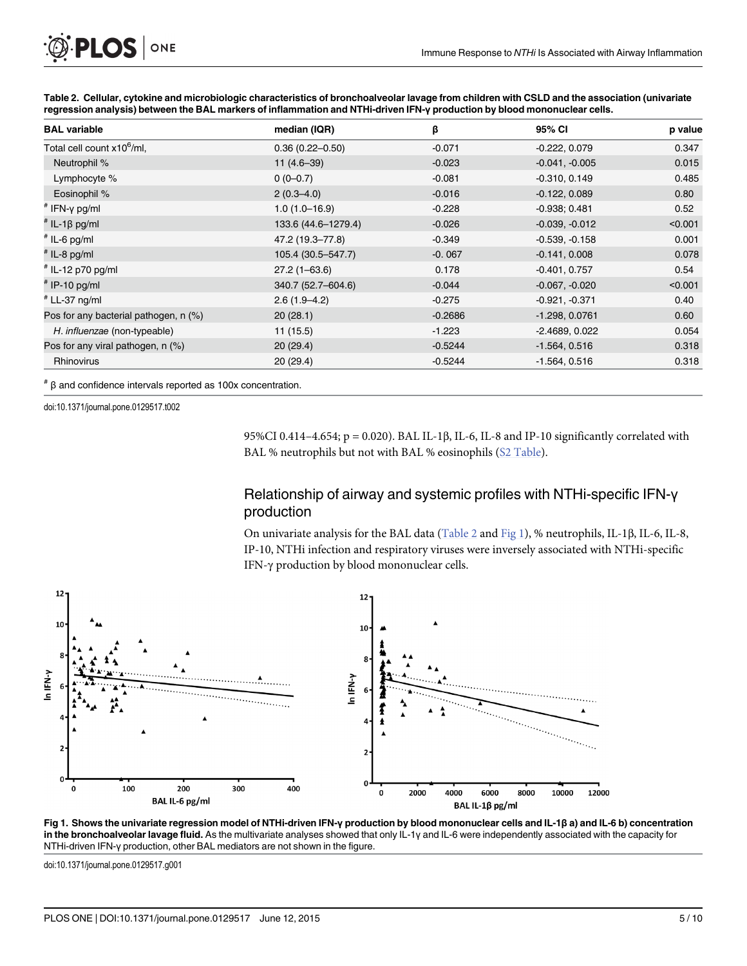<span id="page-5-0"></span>

| O PLOS ONE |  |
|------------|--|
|------------|--|

| <b>BAL</b> variable                    | median (IQR)        | β         | 95% CI           | p value |
|----------------------------------------|---------------------|-----------|------------------|---------|
| Total cell count x10 <sup>6</sup> /ml, | $0.36(0.22 - 0.50)$ | $-0.071$  | $-0.222, 0.079$  | 0.347   |
| Neutrophil %                           | $11(4.6-39)$        | $-0.023$  | $-0.041, -0.005$ | 0.015   |
| Lymphocyte %                           | $0(0-0.7)$          | $-0.081$  | $-0.310, 0.149$  | 0.485   |
| Eosinophil %                           | $2(0.3 - 4.0)$      | $-0.016$  | $-0.122, 0.089$  | 0.80    |
| $*$ IFN-y pg/ml                        | $1.0(1.0-16.9)$     | $-0.228$  | $-0.938; 0.481$  | 0.52    |
| <sup>#</sup> IL-1β pg/ml               | 133.6 (44.6-1279.4) | $-0.026$  | $-0.039, -0.012$ | < 0.001 |
| $*$ IL-6 pg/ml                         | 47.2 (19.3–77.8)    | $-0.349$  | $-0.539, -0.158$ | 0.001   |
| $#$ IL-8 pg/ml                         | 105.4 (30.5–547.7)  | $-0.067$  | $-0.141, 0.008$  | 0.078   |
| $*$ IL-12 p70 pg/ml                    | $27.2(1 - 63.6)$    | 0.178     | $-0.401, 0.757$  | 0.54    |
| $#$ IP-10 pg/ml                        | 340.7 (52.7-604.6)  | $-0.044$  | $-0.067, -0.020$ | < 0.001 |
| # LL-37 ng/ml                          | $2.6(1.9-4.2)$      | $-0.275$  | $-0.921, -0.371$ | 0.40    |
| Pos for any bacterial pathogen, n (%)  | 20(28.1)            | $-0.2686$ | $-1.298, 0.0761$ | 0.60    |
| H. influenzae (non-typeable)           | 11(15.5)            | $-1.223$  | $-2.4689, 0.022$ | 0.054   |
| Pos for any viral pathogen, n (%)      | 20(29.4)            | $-0.5244$ | $-1.564, 0.516$  | 0.318   |
| Rhinovirus                             | 20(29.4)            | $-0.5244$ | $-1.564, 0.516$  | 0.318   |

Table 2. Cellular, cytokine and microbiologic characteristics of bronchoalveolar lavage from children with CSLD and the association (univariate regression analysis) between the BAL markers of inflammation and NTHi-driven IFN-γ production by blood mononuclear cells.

# β and confidence intervals reported as 100x concentration.

doi:10.1371/journal.pone.0129517.t002

95%CI 0.414–4.654; p = 0.020). BAL IL-1β, IL-6, IL-8 and IP-10 significantly correlated with BAL % neutrophils but not with BAL % eosinophils ([S2 Table\)](#page-8-0).

# Relationship of airway and systemic profiles with NTHi-specific IFN-γ production

On univariate analysis for the BAL data (Table 2 and Fig 1), % neutrophils, IL-1β, IL-6, IL-8, IP-10, NTHi infection and respiratory viruses were inversely associated with NTHi-specific IFN-γ production by blood mononuclear cells.



Fig 1. Shows the univariate regression model of NTHi-driven IFN-γ production by blood mononuclear cells and IL-1β a) and IL-6 b) concentration in the bronchoalveolar lavage fluid. As the multivariate analyses showed that only IL-1y and IL-6 were independently associated with the capacity for NTHi-driven IFN-γ production, other BAL mediators are not shown in the figure.

doi:10.1371/journal.pone.0129517.g001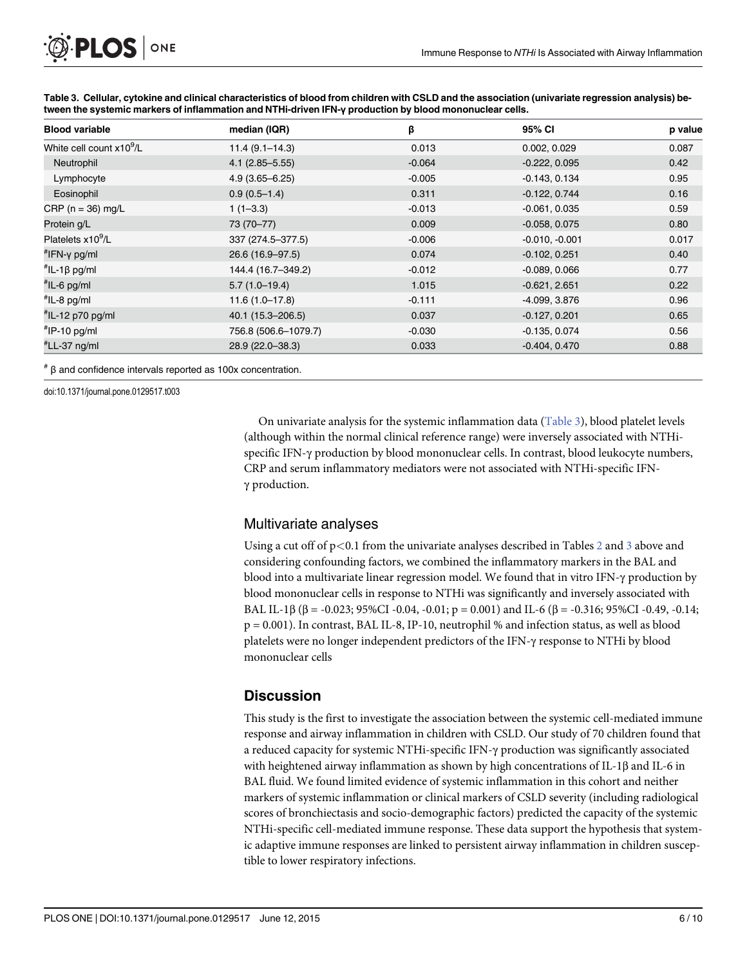| <b>Blood variable</b>                | median (IQR)         | β        | 95% CI           | p value |
|--------------------------------------|----------------------|----------|------------------|---------|
| White cell count x10 <sup>9</sup> /L | $11.4(9.1 - 14.3)$   | 0.013    | 0.002, 0.029     | 0.087   |
| Neutrophil                           | $4.1(2.85 - 5.55)$   | $-0.064$ | $-0.222, 0.095$  | 0.42    |
| Lymphocyte                           | $4.9(3.65 - 6.25)$   | $-0.005$ | $-0.143, 0.134$  | 0.95    |
| Eosinophil                           | $0.9(0.5-1.4)$       | 0.311    | $-0.122, 0.744$  | 0.16    |
| CRP ( $n = 36$ ) mg/L                | $1(1-3.3)$           | $-0.013$ | $-0.061, 0.035$  | 0.59    |
| Protein g/L                          | 73 (70-77)           | 0.009    | $-0.058, 0.075$  | 0.80    |
| Platelets x10 <sup>9</sup> /L        | 337 (274.5-377.5)    | $-0.006$ | $-0.010, -0.001$ | 0.017   |
| $H$ IFN-y pg/ml                      | 26.6 (16.9-97.5)     | 0.074    | $-0.102, 0.251$  | 0.40    |
| $^{\#}$ IL-1 $\beta$ pg/ml           | 144.4 (16.7-349.2)   | $-0.012$ | $-0.089, 0.066$  | 0.77    |
| $*$ IL-6 pg/ml                       | $5.7(1.0-19.4)$      | 1.015    | $-0.621, 2.651$  | 0.22    |
| $*$ IL-8 pg/ml                       | $11.6(1.0-17.8)$     | $-0.111$ | -4.099, 3.876    | 0.96    |
| "IL-12 p70 pg/ml                     | 40.1 (15.3-206.5)    | 0.037    | $-0.127, 0.201$  | 0.65    |
| $H^{\#}$ IP-10 pg/ml                 | 756.8 (506.6-1079.7) | $-0.030$ | $-0.135, 0.074$  | 0.56    |
| #LL-37 ng/ml                         | 28.9 (22.0-38.3)     | 0.033    | $-0.404, 0.470$  | 0.88    |

Table 3. Cellular, cytokine and clinical characteristics of blood from children with CSLD and the association (univariate regression analysis) between the systemic markers of inflammation and NTHi-driven IFN-γ production by blood mononuclear cells.

# β and confidence intervals reported as 100x concentration.

doi:10.1371/journal.pone.0129517.t003

On univariate analysis for the systemic inflammation data (Table 3), blood platelet levels (although within the normal clinical reference range) were inversely associated with NTHispecific IFN-γ production by blood mononuclear cells. In contrast, blood leukocyte numbers, CRP and serum inflammatory mediators were not associated with NTHi-specific IFNγ production.

## Multivariate analyses

Using a cut off of  $p<0.1$  from the univariate analyses described in Tables [2](#page-5-0) and 3 above and considering confounding factors, we combined the inflammatory markers in the BAL and blood into a multivariate linear regression model. We found that in vitro IFN-γ production by blood mononuclear cells in response to NTHi was significantly and inversely associated with BAL IL-1β (β = -0.023; 95%CI -0.04, -0.01; p = 0.001) and IL-6 (β = -0.316; 95%CI -0.49, -0.14; p = 0.001). In contrast, BAL IL-8, IP-10, neutrophil % and infection status, as well as blood platelets were no longer independent predictors of the IFN-γ response to NTHi by blood mononuclear cells

# **Discussion**

This study is the first to investigate the association between the systemic cell-mediated immune response and airway inflammation in children with CSLD. Our study of 70 children found that a reduced capacity for systemic NTHi-specific IFN-γ production was significantly associated with heightened airway inflammation as shown by high concentrations of IL-1β and IL-6 in BAL fluid. We found limited evidence of systemic inflammation in this cohort and neither markers of systemic inflammation or clinical markers of CSLD severity (including radiological scores of bronchiectasis and socio-demographic factors) predicted the capacity of the systemic NTHi-specific cell-mediated immune response. These data support the hypothesis that systemic adaptive immune responses are linked to persistent airway inflammation in children susceptible to lower respiratory infections.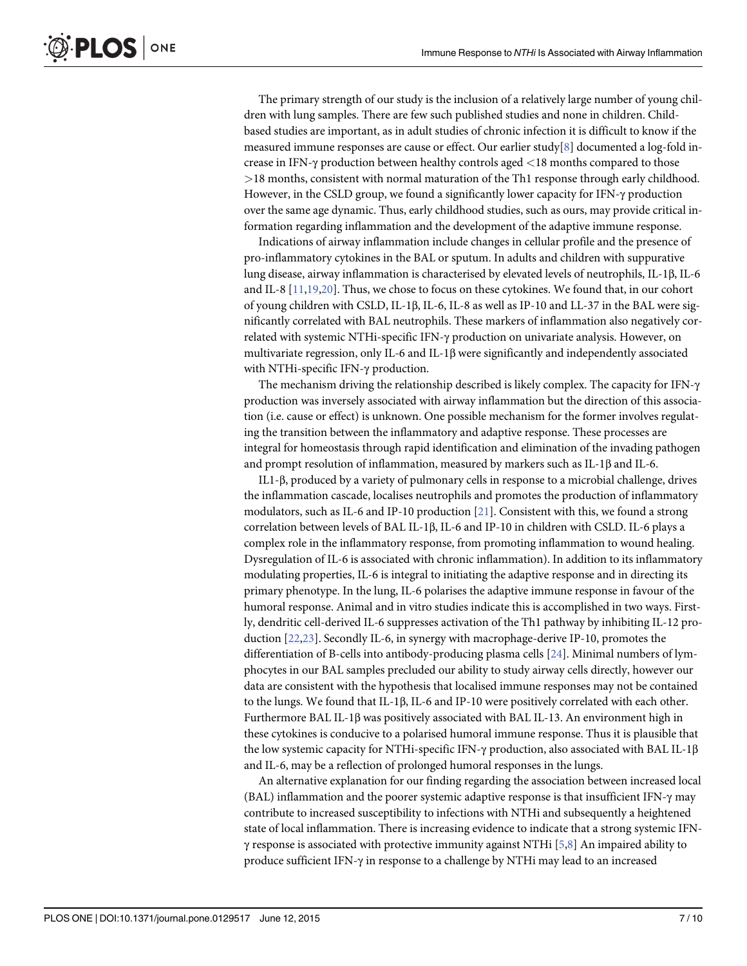<span id="page-7-0"></span>The primary strength of our study is the inclusion of a relatively large number of young children with lung samples. There are few such published studies and none in children. Childbased studies are important, as in adult studies of chronic infection it is difficult to know if the measured immune responses are cause or effect. Our earlier study[\[8](#page-9-0)] documented a log-fold increase in IFN-γ production between healthy controls aged <18 months compared to those >18 months, consistent with normal maturation of the Th1 response through early childhood. However, in the CSLD group, we found a significantly lower capacity for IFN-γ production over the same age dynamic. Thus, early childhood studies, such as ours, may provide critical information regarding inflammation and the development of the adaptive immune response.

Indications of airway inflammation include changes in cellular profile and the presence of pro-inflammatory cytokines in the BAL or sputum. In adults and children with suppurative lung disease, airway inflammation is characterised by elevated levels of neutrophils, IL-1β, IL-6 and IL-8 [[11](#page-9-0),[19](#page-9-0)[,20](#page-10-0)]. Thus, we chose to focus on these cytokines. We found that, in our cohort of young children with CSLD, IL-1β, IL-6, IL-8 as well as IP-10 and LL-37 in the BAL were significantly correlated with BAL neutrophils. These markers of inflammation also negatively correlated with systemic NTHi-specific IFN-γ production on univariate analysis. However, on multivariate regression, only IL-6 and IL-1β were significantly and independently associated with NTHi-specific IFN-γ production.

The mechanism driving the relationship described is likely complex. The capacity for IFN-γ production was inversely associated with airway inflammation but the direction of this association (i.e. cause or effect) is unknown. One possible mechanism for the former involves regulating the transition between the inflammatory and adaptive response. These processes are integral for homeostasis through rapid identification and elimination of the invading pathogen and prompt resolution of inflammation, measured by markers such as IL-1β and IL-6.

IL1-β, produced by a variety of pulmonary cells in response to a microbial challenge, drives the inflammation cascade, localises neutrophils and promotes the production of inflammatory modulators, such as IL-6 and IP-10 production [[21](#page-10-0)]. Consistent with this, we found a strong correlation between levels of BAL IL-1β, IL-6 and IP-10 in children with CSLD. IL-6 plays a complex role in the inflammatory response, from promoting inflammation to wound healing. Dysregulation of IL-6 is associated with chronic inflammation). In addition to its inflammatory modulating properties, IL-6 is integral to initiating the adaptive response and in directing its primary phenotype. In the lung, IL-6 polarises the adaptive immune response in favour of the humoral response. Animal and in vitro studies indicate this is accomplished in two ways. Firstly, dendritic cell-derived IL-6 suppresses activation of the Th1 pathway by inhibiting IL-12 production [\[22,23\]](#page-10-0). Secondly IL-6, in synergy with macrophage-derive IP-10, promotes the differentiation of B-cells into antibody-producing plasma cells [\[24](#page-10-0)]. Minimal numbers of lymphocytes in our BAL samples precluded our ability to study airway cells directly, however our data are consistent with the hypothesis that localised immune responses may not be contained to the lungs. We found that IL-1β, IL-6 and IP-10 were positively correlated with each other. Furthermore BAL IL-1 $\beta$  was positively associated with BAL IL-13. An environment high in these cytokines is conducive to a polarised humoral immune response. Thus it is plausible that the low systemic capacity for NTHi-specific IFN-γ production, also associated with BAL IL-1β and IL-6, may be a reflection of prolonged humoral responses in the lungs.

An alternative explanation for our finding regarding the association between increased local (BAL) inflammation and the poorer systemic adaptive response is that insufficient IFN-γ may contribute to increased susceptibility to infections with NTHi and subsequently a heightened state of local inflammation. There is increasing evidence to indicate that a strong systemic IFN- $\gamma$  response is associated with protective immunity against NTHi [\[5,8\]](#page-9-0) An impaired ability to produce sufficient IFN-γ in response to a challenge by NTHi may lead to an increased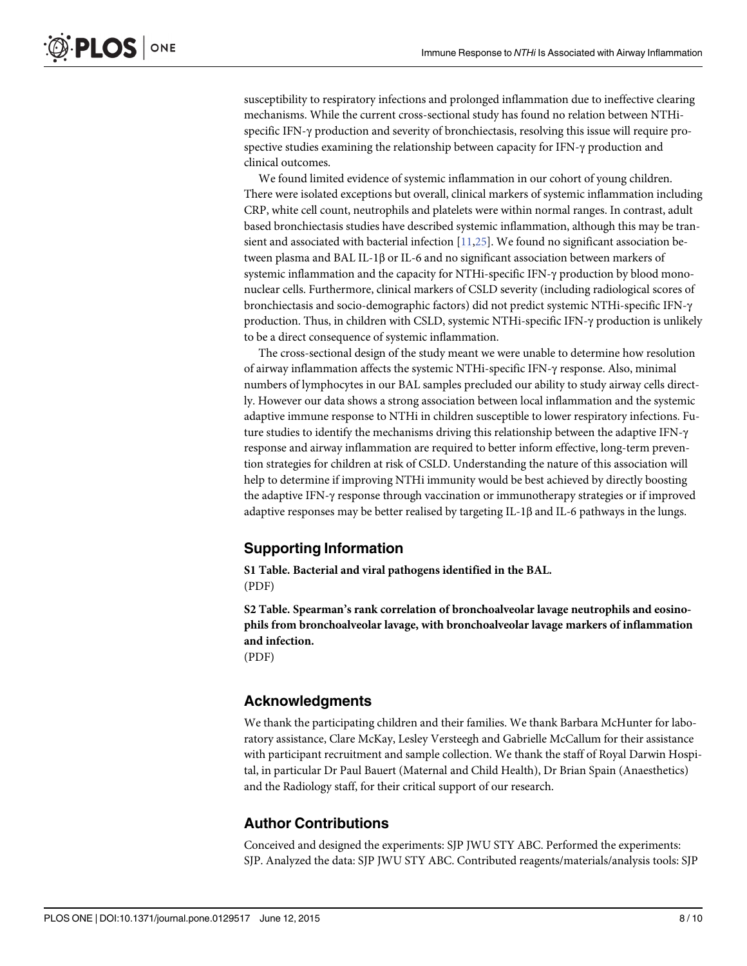<span id="page-8-0"></span>susceptibility to respiratory infections and prolonged inflammation due to ineffective clearing mechanisms. While the current cross-sectional study has found no relation between NTHispecific IFN-γ production and severity of bronchiectasis, resolving this issue will require prospective studies examining the relationship between capacity for IFN-γ production and clinical outcomes.

We found limited evidence of systemic inflammation in our cohort of young children. There were isolated exceptions but overall, clinical markers of systemic inflammation including CRP, white cell count, neutrophils and platelets were within normal ranges. In contrast, adult based bronchiectasis studies have described systemic inflammation, although this may be transient and associated with bacterial infection  $[11,25]$  $[11,25]$  $[11,25]$  $[11,25]$  $[11,25]$ . We found no significant association between plasma and BAL IL-1β or IL-6 and no significant association between markers of systemic inflammation and the capacity for NTHi-specific IFN-γ production by blood mononuclear cells. Furthermore, clinical markers of CSLD severity (including radiological scores of bronchiectasis and socio-demographic factors) did not predict systemic NTHi-specific IFN-γ production. Thus, in children with CSLD, systemic NTHi-specific IFN-γ production is unlikely to be a direct consequence of systemic inflammation.

The cross-sectional design of the study meant we were unable to determine how resolution of airway inflammation affects the systemic NTHi-specific IFN-γ response. Also, minimal numbers of lymphocytes in our BAL samples precluded our ability to study airway cells directly. However our data shows a strong association between local inflammation and the systemic adaptive immune response to NTHi in children susceptible to lower respiratory infections. Future studies to identify the mechanisms driving this relationship between the adaptive IFN-γ response and airway inflammation are required to better inform effective, long-term prevention strategies for children at risk of CSLD. Understanding the nature of this association will help to determine if improving NTHi immunity would be best achieved by directly boosting the adaptive IFN-γ response through vaccination or immunotherapy strategies or if improved adaptive responses may be better realised by targeting IL-1β and IL-6 pathways in the lungs.

# Supporting Information

[S1 Table](http://www.plosone.org/article/fetchSingleRepresentation.action?uri=info:doi/10.1371/journal.pone.0129517.s001). Bacterial and viral pathogens identified in the BAL. (PDF)

[S2 Table](http://www.plosone.org/article/fetchSingleRepresentation.action?uri=info:doi/10.1371/journal.pone.0129517.s002). Spearman's rank correlation of bronchoalveolar lavage neutrophils and eosinophils from bronchoalveolar lavage, with bronchoalveolar lavage markers of inflammation and infection. (PDF)

## Acknowledgments

We thank the participating children and their families. We thank Barbara McHunter for laboratory assistance, Clare McKay, Lesley Versteegh and Gabrielle McCallum for their assistance with participant recruitment and sample collection. We thank the staff of Royal Darwin Hospital, in particular Dr Paul Bauert (Maternal and Child Health), Dr Brian Spain (Anaesthetics) and the Radiology staff, for their critical support of our research.

# Author Contributions

Conceived and designed the experiments: SJP JWU STY ABC. Performed the experiments: SJP. Analyzed the data: SJP JWU STY ABC. Contributed reagents/materials/analysis tools: SJP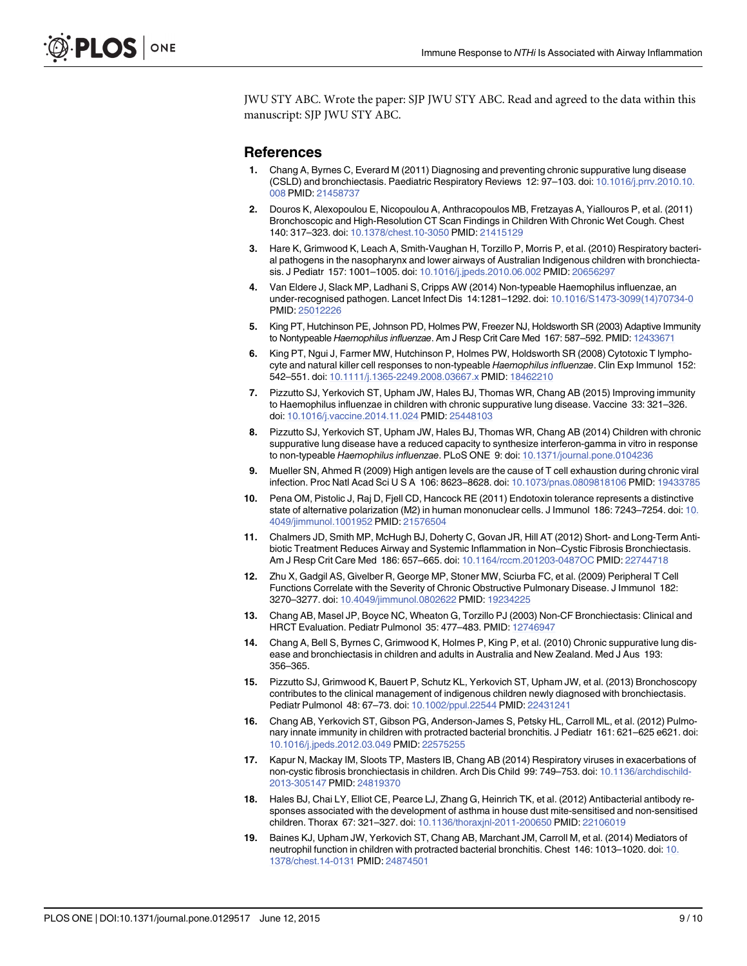<span id="page-9-0"></span>JWU STY ABC. Wrote the paper: SJP JWU STY ABC. Read and agreed to the data within this manuscript: SJP JWU STY ABC.

#### References

- [1.](#page-2-0) Chang A, Byrnes C, Everard M (2011) Diagnosing and preventing chronic suppurative lung disease (CSLD) and bronchiectasis. Paediatric Respiratory Reviews 12: 97–103. doi: [10.1016/j.prrv.2010.10.](http://dx.doi.org/10.1016/j.prrv.2010.10.008) [008](http://dx.doi.org/10.1016/j.prrv.2010.10.008) PMID: [21458737](http://www.ncbi.nlm.nih.gov/pubmed/21458737)
- [2.](#page-2-0) Douros K, Alexopoulou E, Nicopoulou A, Anthracopoulos MB, Fretzayas A, Yiallouros P, et al. (2011) Bronchoscopic and High-Resolution CT Scan Findings in Children With Chronic Wet Cough. Chest 140: 317–323. doi: [10.1378/chest.10-3050](http://dx.doi.org/10.1378/chest.10-3050) PMID: [21415129](http://www.ncbi.nlm.nih.gov/pubmed/21415129)
- [3.](#page-3-0) Hare K, Grimwood K, Leach A, Smith-Vaughan H, Torzillo P, Morris P, et al. (2010) Respiratory bacterial pathogens in the nasopharynx and lower airways of Australian Indigenous children with bronchiectasis. J Pediatr 157: 1001–1005. doi: [10.1016/j.jpeds.2010.06.002](http://dx.doi.org/10.1016/j.jpeds.2010.06.002) PMID: [20656297](http://www.ncbi.nlm.nih.gov/pubmed/20656297)
- [4.](#page-2-0) Van Eldere J, Slack MP, Ladhani S, Cripps AW (2014) Non-typeable Haemophilus influenzae, an under-recognised pathogen. Lancet Infect Dis 14:1281–1292. doi: [10.1016/S1473-3099\(14\)70734-0](http://dx.doi.org/10.1016/S1473-3099(14)70734-0) PMID: [25012226](http://www.ncbi.nlm.nih.gov/pubmed/25012226)
- [5.](#page-2-0) King PT, Hutchinson PE, Johnson PD, Holmes PW, Freezer NJ, Holdsworth SR (2003) Adaptive Immunity to Nontypeable Haemophilus influenzae. Am J Resp Crit Care Med 167: 587-592. PMID: [12433671](http://www.ncbi.nlm.nih.gov/pubmed/12433671)
- [6.](#page-2-0) King PT, Ngui J, Farmer MW, Hutchinson P, Holmes PW, Holdsworth SR (2008) Cytotoxic T lymphocyte and natural killer cell responses to non-typeable Haemophilus influenzae. Clin Exp Immunol 152: 542–551. doi: [10.1111/j.1365-2249.2008.03667.x](http://dx.doi.org/10.1111/j.1365-2249.2008.03667.x) PMID: [18462210](http://www.ncbi.nlm.nih.gov/pubmed/18462210)
- [7.](#page-2-0) Pizzutto SJ, Yerkovich ST, Upham JW, Hales BJ, Thomas WR, Chang AB (2015) Improving immunity to Haemophilus influenzae in children with chronic suppurative lung disease. Vaccine 33: 321–326. doi: [10.1016/j.vaccine.2014.11.024](http://dx.doi.org/10.1016/j.vaccine.2014.11.024) PMID: [25448103](http://www.ncbi.nlm.nih.gov/pubmed/25448103)
- [8.](#page-2-0) Pizzutto SJ, Yerkovich ST, Upham JW, Hales BJ, Thomas WR, Chang AB (2014) Children with chronic suppurative lung disease have a reduced capacity to synthesize interferon-gamma in vitro in response to non-typeable Haemophilus influenzae. PLoS ONE 9: doi: [10.1371/journal.pone.0104236](http://dx.doi.org/10.1371/journal.pone.0104236)
- [9.](#page-2-0) Mueller SN, Ahmed R (2009) High antigen levels are the cause of T cell exhaustion during chronic viral infection. Proc Natl Acad Sci U S A 106: 8623–8628. doi: [10.1073/pnas.0809818106](http://dx.doi.org/10.1073/pnas.0809818106) PMID: [19433785](http://www.ncbi.nlm.nih.gov/pubmed/19433785)
- [10.](#page-2-0) Pena OM, Pistolic J, Raj D, Fjell CD, Hancock RE (2011) Endotoxin tolerance represents a distinctive state of alternative polarization (M2) in human mononuclear cells. J Immunol 186: 7243–7254. doi: [10.](http://dx.doi.org/10.4049/jimmunol.1001952) [4049/jimmunol.1001952](http://dx.doi.org/10.4049/jimmunol.1001952) PMID: [21576504](http://www.ncbi.nlm.nih.gov/pubmed/21576504)
- [11.](#page-2-0) Chalmers JD, Smith MP, McHugh BJ, Doherty C, Govan JR, Hill AT (2012) Short- and Long-Term Antibiotic Treatment Reduces Airway and Systemic Inflammation in Non–Cystic Fibrosis Bronchiectasis. Am J Resp Crit Care Med 186: 657-665. doi: [10.1164/rccm.201203-0487OC](http://dx.doi.org/10.1164/rccm.201203-0487OC) PMID: [22744718](http://www.ncbi.nlm.nih.gov/pubmed/22744718)
- [12.](#page-2-0) Zhu X, Gadgil AS, Givelber R, George MP, Stoner MW, Sciurba FC, et al. (2009) Peripheral T Cell Functions Correlate with the Severity of Chronic Obstructive Pulmonary Disease. J Immunol 182: 3270–3277. doi: [10.4049/jimmunol.0802622](http://dx.doi.org/10.4049/jimmunol.0802622) PMID: [19234225](http://www.ncbi.nlm.nih.gov/pubmed/19234225)
- [13.](#page-2-0) Chang AB, Masel JP, Boyce NC, Wheaton G, Torzillo PJ (2003) Non-CF Bronchiectasis: Clinical and HRCT Evaluation. Pediatr Pulmonol 35: 477–483. PMID: [12746947](http://www.ncbi.nlm.nih.gov/pubmed/12746947)
- [14.](#page-2-0) Chang A, Bell S, Byrnes C, Grimwood K, Holmes P, King P, et al. (2010) Chronic suppurative lung disease and bronchiectasis in children and adults in Australia and New Zealand. Med J Aus 193: 356–365.
- [15.](#page-3-0) Pizzutto SJ, Grimwood K, Bauert P, Schutz KL, Yerkovich ST, Upham JW, et al. (2013) Bronchoscopy contributes to the clinical management of indigenous children newly diagnosed with bronchiectasis. Pediatr Pulmonol 48: 67–73. doi: [10.1002/ppul.22544](http://dx.doi.org/10.1002/ppul.22544) PMID: [22431241](http://www.ncbi.nlm.nih.gov/pubmed/22431241)
- [16.](#page-3-0) Chang AB, Yerkovich ST, Gibson PG, Anderson-James S, Petsky HL, Carroll ML, et al. (2012) Pulmonary innate immunity in children with protracted bacterial bronchitis. J Pediatr 161: 621–625 e621. doi: [10.1016/j.jpeds.2012.03.049](http://dx.doi.org/10.1016/j.jpeds.2012.03.049) PMID: [22575255](http://www.ncbi.nlm.nih.gov/pubmed/22575255)
- [17.](#page-3-0) Kapur N, Mackay IM, Sloots TP, Masters IB, Chang AB (2014) Respiratory viruses in exacerbations of non-cystic fibrosis bronchiectasis in children. Arch Dis Child 99: 749–753. doi: [10.1136/archdischild-](http://dx.doi.org/10.1136/archdischild-2013-305147)[2013-305147](http://dx.doi.org/10.1136/archdischild-2013-305147) PMID: [24819370](http://www.ncbi.nlm.nih.gov/pubmed/24819370)
- [18.](#page-3-0) Hales BJ, Chai LY, Elliot CE, Pearce LJ, Zhang G, Heinrich TK, et al. (2012) Antibacterial antibody responses associated with the development of asthma in house dust mite-sensitised and non-sensitised children. Thorax 67: 321–327. doi: [10.1136/thoraxjnl-2011-200650](http://dx.doi.org/10.1136/thoraxjnl-2011-200650) PMID: [22106019](http://www.ncbi.nlm.nih.gov/pubmed/22106019)
- [19.](#page-7-0) Baines KJ, Upham JW, Yerkovich ST, Chang AB, Marchant JM, Carroll M, et al. (2014) Mediators of neutrophil function in children with protracted bacterial bronchitis. Chest 146: 1013–1020. doi: [10.](http://dx.doi.org/10.1378/chest.14-0131) [1378/chest.14-0131](http://dx.doi.org/10.1378/chest.14-0131) PMID: [24874501](http://www.ncbi.nlm.nih.gov/pubmed/24874501)